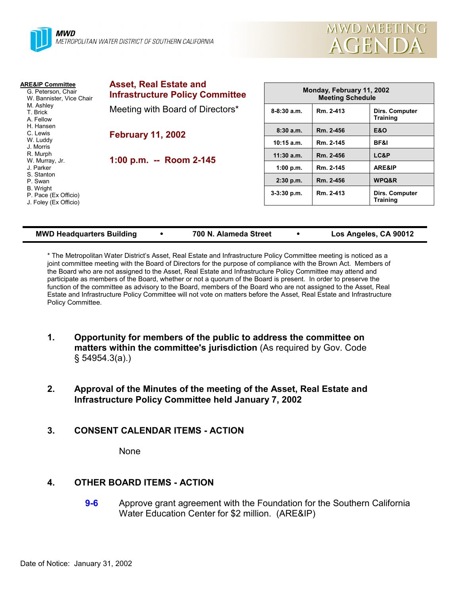

| <b>Asset, Real Estate and</b><br><b>Infrastructure Policy Committee</b> | Monday, February 11, 2002<br><b>Meeting Schedule</b> |           |                                   |
|-------------------------------------------------------------------------|------------------------------------------------------|-----------|-----------------------------------|
| Meeting with Board of Directors*                                        | $8-8:30$ a.m.                                        | Rm. 2-413 | Dirs. Computer<br><b>Training</b> |
| <b>February 11, 2002</b>                                                | 8:30a.m.                                             | Rm. 2-456 | <b>E&amp;O</b>                    |
|                                                                         | $10:15$ a.m.                                         | Rm. 2-145 | <b>BF&amp;I</b>                   |
| 1:00 p.m. -- Room 2-145                                                 | $11:30$ a.m.                                         | Rm. 2-456 | LC&P                              |
|                                                                         | 1:00 p.m.                                            | Rm. 2-145 | ARE&IP                            |
|                                                                         | $2:30$ p.m.                                          | Rm. 2-456 | WPQ&R                             |
|                                                                         | $3-3:30$ p.m.                                        | Rm. 2-413 | Dirs. Computer<br><b>Training</b> |
|                                                                         |                                                      |           |                                   |

**MWD Headquarters Building** y **700 N. Alameda Street** y **Los Angeles, CA 90012**

\* The Metropolitan Water District's Asset, Real Estate and Infrastructure Policy Committee meeting is noticed as a joint committee meeting with the Board of Directors for the purpose of compliance with the Brown Act. Members of the Board who are not assigned to the Asset, Real Estate and Infrastructure Policy Committee may attend and participate as members of the Board, whether or not a quorum of the Board is present. In order to preserve the function of the committee as advisory to the Board, members of the Board who are not assigned to the Asset, Real Estate and Infrastructure Policy Committee will not vote on matters before the Asset, Real Estate and Infrastructure Policy Committee.

- **1. Opportunity for members of the public to address the committee on matters within the committee's jurisdiction** (As required by Gov. Code § 54954.3(a).)
- **2. Approval of the Minutes of the meeting of the Asset, Real Estate and Infrastructure Policy Committee held January 7, 2002**
- **3. CONSENT CALENDAR ITEMS ACTION**

None

# **4. OTHER BOARD ITEMS - ACTION**

**9-6** Approve grant agreement with the Foundation for the Southern California Water Education Center for \$2 million. (ARE&IP)